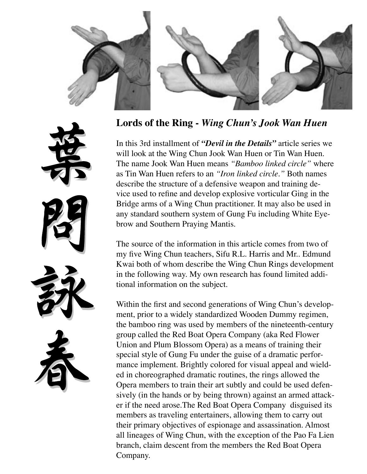

**Lords of the Ring -** *Wing Chun's Jook Wan Huen*

In this 3rd installment of *"Devil in the Details"* article series we will look at the Wing Chun Jook Wan Huen or Tin Wan Huen. The name Jook Wan Huen means *"Bamboo linked circle"* where as Tin Wan Huen refers to an *"Iron linked circle."* Both names describe the structure of a defensive weapon and training device used to refine and develop explosive vorticular Ging in the Bridge arms of a Wing Chun practitioner. It may also be used in any standard southern system of Gung Fu including White Eyebrow and Southern Praying Mantis.

The source of the information in this article comes from two of my five Wing Chun teachers, Sifu R.L. Harris and Mr.. Edmund Kwai both of whom describe the Wing Chun Rings development in the following way. My own research has found limited additional information on the subject.

Within the first and second generations of Wing Chun's development, prior to a widely standardized Wooden Dummy regimen, the bamboo ring was used by members of the nineteenth-century group called the Red Boat Opera Company (aka Red Flower Union and Plum Blossom Opera) as a means of training their special style of Gung Fu under the guise of a dramatic performance implement. Brightly colored for visual appeal and wielded in choreographed dramatic routines, the rings allowed the Opera members to train their art subtly and could be used defensively (in the hands or by being thrown) against an armed attacker if the need arose.The Red Boat Opera Company disguised its members as traveling entertainers, allowing them to carry out their primary objectives of espionage and assassination. Almost all lineages of Wing Chun, with the exception of the Pao Fa Lien branch, claim descent from the members the Red Boat Opera Company.



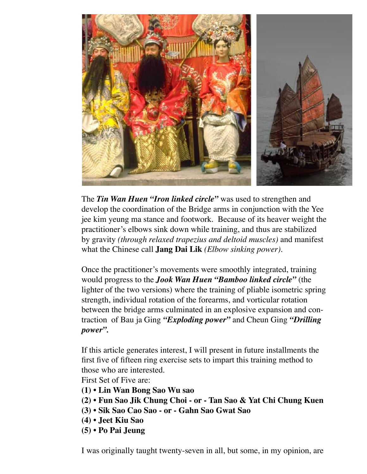

The *Tin Wan Huen "Iron linked circle"* was used to strengthen and develop the coordination of the Bridge arms in conjunction with the Yee jee kim yeung ma stance and footwork. Because of its heaver weight the practitioner's elbows sink down while training, and thus are stabilized by gravity *(through relaxed trapezius and deltoid muscles)* and manifest what the Chinese call **Jang Dai Lik** *(Elbow sinking power).* 

Once the practitioner's movements were smoothly integrated, training would progress to the *Jook Wan Huen "Bamboo linked circle"* (the lighter of the two versions) where the training of pliable isometric spring strength, individual rotation of the forearms, and vorticular rotation between the bridge arms culminated in an explosive expansion and contraction of Bau ja Ging *"Exploding power"* and Cheun Ging *"Drilling power".*

If this article generates interest, I will present in future installments the first five of fifteen ring exercise sets to impart this training method to those who are interested.

First Set of Five are:

- **(1) Lin Wan Bong Sao Wu sao**
- **(2) Fun Sao Jik Chung Choi or Tan Sao & Yat Chi Chung Kuen**
- **(3) Sik Sao Cao Sao or Gahn Sao Gwat Sao**
- **(4) Jeet Kiu Sao**
- **(5) Po Pai Jeung**

I was originally taught twenty-seven in all, but some, in my opinion, are